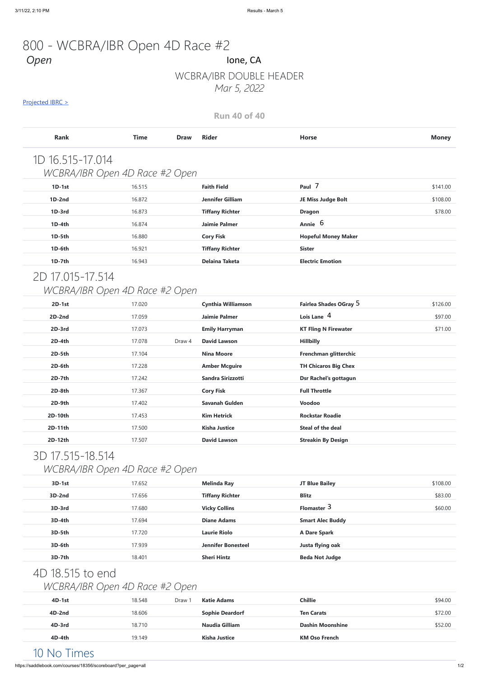## WCBRA/IBR DOUBLE HEADER *Mar 5, 2022*

#### Projected IBRC >

**Run 40 of 40**

## 800 - WCBRA/IBR Open 4D Race #2 *Open* Ione, CA

| <b>Rank</b>                    | <b>Time</b> | <b>Draw</b> | <b>Rider</b>              | <b>Horse</b>                | <b>Money</b> |
|--------------------------------|-------------|-------------|---------------------------|-----------------------------|--------------|
| 1D 16.515-17.014               |             |             |                           |                             |              |
| WCBRA/IBR Open 4D Race #2 Open |             |             |                           |                             |              |
| $1D-1st$                       | 16.515      |             | <b>Faith Field</b>        | Paul 7                      | \$141.00     |
| $1D-2nd$                       | 16.872      |             | <b>Jennifer Gilliam</b>   | JE Miss Judge Bolt          | \$108.00     |
| 1D-3rd                         | 16.873      |             | <b>Tiffany Richter</b>    | <b>Dragon</b>               | \$78.00      |
| 1D-4th                         | 16.874      |             | <b>Jaimie Palmer</b>      | Annie 6                     |              |
| 1D-5th                         | 16.880      |             | <b>Cory Fisk</b>          | <b>Hopeful Money Maker</b>  |              |
| 1D-6th                         | 16.921      |             | <b>Tiffany Richter</b>    | <b>Sister</b>               |              |
| 1D-7th                         | 16.943      |             | <b>Delaina Taketa</b>     | <b>Electric Emotion</b>     |              |
| 2D 17.015-17.514               |             |             |                           |                             |              |
| WCBRA/IBR Open 4D Race #2 Open |             |             |                           |                             |              |
| $2D-1st$                       | 17.020      |             | <b>Cynthia Williamson</b> | Fairlea Shades OGray 5      | \$126.00     |
| $2D-2nd$                       | 17.059      |             | <b>Jaimie Palmer</b>      | Lois Lane 4                 | \$97.00      |
| 2D-3rd                         | 17.073      |             | <b>Emily Harryman</b>     | <b>KT Fling N Firewater</b> | \$71.00      |
| 2D-4th                         | 17.078      | Draw 4      | <b>David Lawson</b>       | <b>Hillbilly</b>            |              |
| 2D-5th                         | 17.104      |             | <b>Nina Moore</b>         | Frenchman glitterchic       |              |
| 2D-6th                         | 17.228      |             | <b>Amber Mcguire</b>      | <b>TH Chicaros Big Chex</b> |              |
| 2D-7th                         | 17.242      |             | Sandra Sirizzotti         | Dsr Rachel's gottagun       |              |
| 2D-8th                         | 17.367      |             | <b>Cory Fisk</b>          | <b>Full Throttle</b>        |              |
| 2D-9th                         | 17.402      |             | Savanah Gulden            | Voodoo                      |              |
| 2D-10th                        | 17.453      |             | <b>Kim Hetrick</b>        | <b>Rockstar Roadie</b>      |              |
| 2D-11th                        | 17.500      |             | <b>Kisha Justice</b>      | Steal of the deal           |              |
| 2D-12th                        | 17.507      |             | <b>David Lawson</b>       | <b>Streakin By Design</b>   |              |
|                                |             |             |                           |                             |              |

# 3D 17.515-18.514

### *WCBRA/IBR Open 4D Race #2 Open*

| $3D-1st$ | 17.652 | <b>Melinda Ray</b>     | JT Blue Bailey | \$108.00 |
|----------|--------|------------------------|----------------|----------|
| $3D-2nd$ | 17.656 | <b>Tiffany Richter</b> | <b>Blitz</b>   | \$83.00  |
| 3D-3rd   | 17.680 | <b>Vicky Collins</b>   | Flomaster 3    | \$60.00  |

| 3D-4th                         | 17.694 |        | <b>Diane Adams</b>        | <b>Smart Alec Buddy</b> |         |
|--------------------------------|--------|--------|---------------------------|-------------------------|---------|
| 3D-5th                         | 17.720 |        | <b>Laurie Riolo</b>       | <b>A Dare Spark</b>     |         |
| 3D-6th                         | 17.939 |        | <b>Jennifer Bonesteel</b> | Justa flying oak        |         |
| 3D-7th                         | 18.401 |        | <b>Sheri Hintz</b>        | <b>Beda Not Judge</b>   |         |
| 4D 18.515 to end               |        |        |                           |                         |         |
| WCBRA/IBR Open 4D Race #2 Open |        |        |                           |                         |         |
| 4D-1st                         | 18.548 | Draw 1 | <b>Katie Adams</b>        | <b>Chillie</b>          | \$94.00 |
| 4D-2nd                         | 18.606 |        | <b>Sophie Deardorf</b>    | <b>Ten Carats</b>       | \$72.00 |

**4D-3rd** 18.710 **Naudia Gilliam Dashin Moonshine** \$52.00

**4D-4th** 19.149 **Kisha Justice KM Oso French**

## 10 No Times

https://saddlebook.com/courses/18356/scoreboard?per\_page=all 1/2